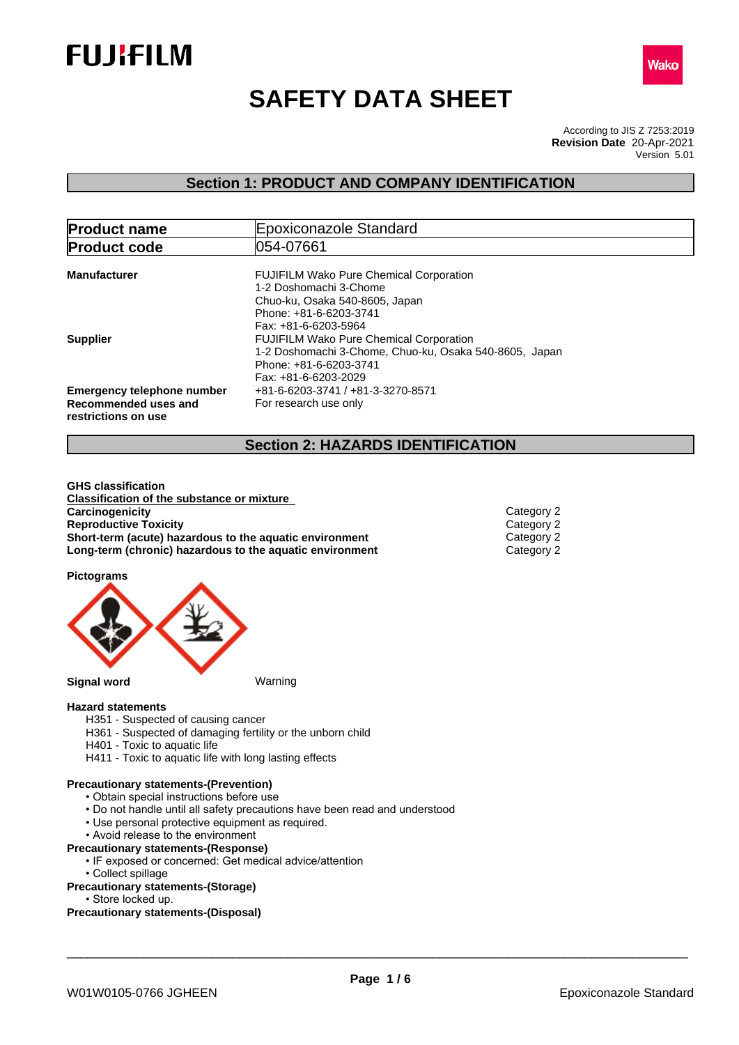



# **SAFETY DATA SHEET**

According to JIS Z 7253:2019 Version 5.01 **Revision Date** 20-Apr-2021

## **Section 1: PRODUCT AND COMPANY IDENTIFICATION**

| <b>Product name</b>                                                              | Epoxiconazole Standard                                                                                                                                       |
|----------------------------------------------------------------------------------|--------------------------------------------------------------------------------------------------------------------------------------------------------------|
| <b>Product code</b>                                                              | 054-07661                                                                                                                                                    |
| <b>Manufacturer</b>                                                              | <b>FUJIFILM Wako Pure Chemical Corporation</b><br>1-2 Doshomachi 3-Chome<br>Chuo-ku, Osaka 540-8605, Japan<br>Phone: +81-6-6203-3741<br>Fax: +81-6-6203-5964 |
| <b>Supplier</b>                                                                  | <b>FUJIFILM Wako Pure Chemical Corporation</b><br>1-2 Doshomachi 3-Chome, Chuo-ku, Osaka 540-8605, Japan<br>Phone: +81-6-6203-3741<br>Fax: +81-6-6203-2029   |
| <b>Emergency telephone number</b><br>Recommended uses and<br>restrictions on use | +81-6-6203-3741 / +81-3-3270-8571<br>For research use only                                                                                                   |

## **Section 2: HAZARDS IDENTIFICATION**

**GHS classification Classification of the substance or mixture Carcinogenicity** Category 2<br> **Category 2**<br> **Category 2**<br>
Category 2 **Reproductive Toxicity**<br> **Short-term (acute) hazardous to the aquatic environment**<br>
Category 2 **Short-term (acute) hazardous to the aquatic environment** Category 2<br> **Long-term (chronic) hazardous to the aquatic environment** Category 2 **Long-term (chronic) hazardous to the aquatic environment** 

**Pictograms**



#### **Hazard statements**

- H351 Suspected of causing cancer
- H361 Suspected of damaging fertility or the unborn child
- H401 Toxic to aquatic life
- H411 Toxic to aquatic life with long lasting effects

#### **Precautionary statements-(Prevention)**

- Obtain special instructions before use
- Do not handle until all safety precautions have been read and understood
- Use personal protective equipment as required.
- Avoid release to the environment

### **Precautionary statements-(Response)**

- IF exposed or concerned: Get medical advice/attention
	- Collect spillage

#### **Precautionary statements-(Storage)**

• Store locked up.

#### **Precautionary statements-(Disposal)**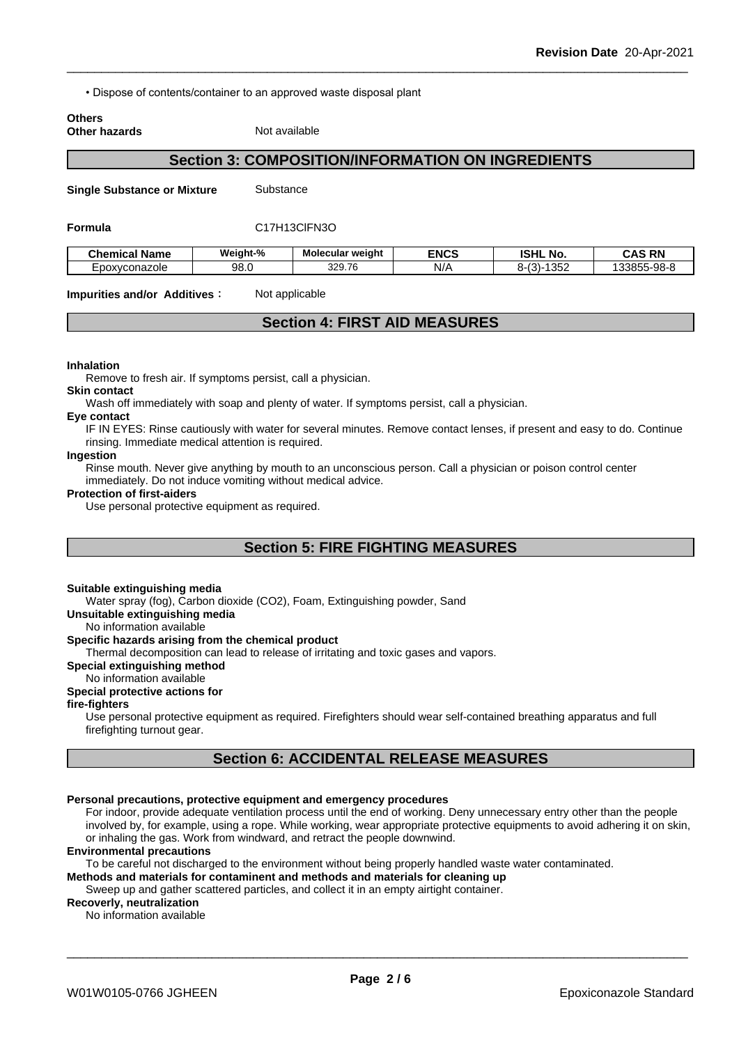• Dispose of contents/container to an approved waste disposal plant

#### **Others Other hazards** Not available

## **Section 3: COMPOSITION/INFORMATION ON INGREDIENTS**

**Single Substance or Mixture** Substance

#### **Formula** C17H13ClFN3O

| <b>Chemical</b><br>.<br>Name | Weiaht-%   | <b>Molecular weight</b> | <b>ENCS</b> | <b>ISHL No.</b>                        | <b>CAS RN</b><br>∼                                                   |
|------------------------------|------------|-------------------------|-------------|----------------------------------------|----------------------------------------------------------------------|
| -poxvconazole                | QΩ<br>ອບ.ບ | 329.76                  | NI/<br>N/   | 1000<br>$\sim$<br>. ו-ר<br>، ت<br>ےںں⊦ | $0.98 - 8$<br>$\sim$ $\sim$ $\sim$ $\sim$<br>.<br>ື<br>- 20<br>,,,,, |

**Impurities and/or Additives**: Not applicable

## **Section 4: FIRST AID MEASURES**

#### **Inhalation**

Remove to fresh air. If symptoms persist, call a physician.

### **Skin contact**

Wash off immediately with soap and plenty of water. If symptoms persist, call a physician.

#### **Eye contact**

IF IN EYES: Rinse cautiously with water for several minutes. Remove contact lenses, if present and easy to do. Continue rinsing. Immediate medical attention is required.

#### **Ingestion**

Rinse mouth. Never give anything by mouth to an unconscious person. Call a physician or poison control center immediately. Do not induce vomiting without medical advice.

#### **Protection of first-aiders**

Use personal protective equipment as required.

## **Section 5: FIRE FIGHTING MEASURES**

#### **Suitable extinguishing media**

Water spray (fog), Carbon dioxide (CO2), Foam, Extinguishing powder, Sand

**Unsuitable extinguishing media**

No information available

#### **Specific hazards arising from the chemical product**

Thermal decomposition can lead to release of irritating and toxic gases and vapors.

#### **Special extinguishing method**

No information available

## **Special protective actions for**

#### **fire-fighters**

Use personal protective equipment as required.Firefighters should wear self-contained breathing apparatus and full firefighting turnout gear.

## **Section 6: ACCIDENTAL RELEASE MEASURES**

#### **Personal precautions, protective equipment and emergency procedures**

For indoor, provide adequate ventilation process until the end of working. Deny unnecessary entry other than the people involved by, for example, using a rope. While working, wear appropriate protective equipments to avoid adhering it on skin, or inhaling the gas. Work from windward, and retract the people downwind.

#### **Environmental precautions**

To be careful not discharged to the environment without being properly handled waste water contaminated.

#### **Methods and materials for contaminent and methods and materials for cleaning up**

Sweep up and gather scattered particles, and collect it in an empty airtight container.

#### **Recoverly, neutralization**

No information available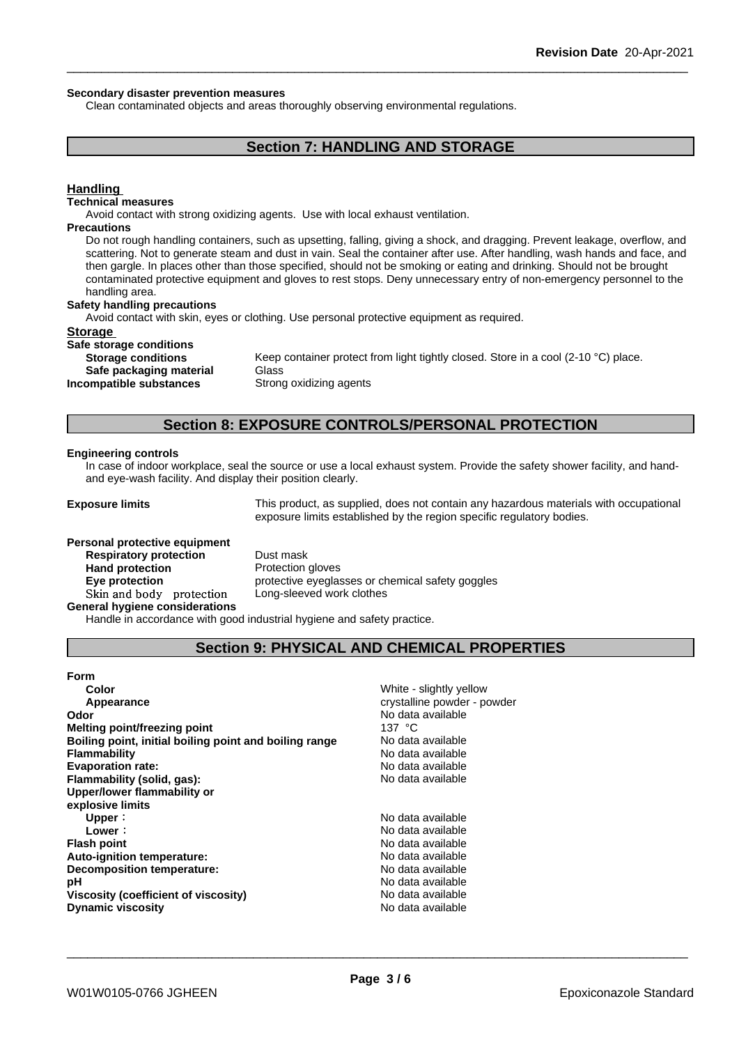#### **Secondary disaster prevention measures**

Clean contaminated objects and areas thoroughly observing environmental regulations.

## **Section 7: HANDLING AND STORAGE**

### **Handling**

#### **Technical measures**

Avoid contact with strong oxidizing agents. Use with local exhaust ventilation.

#### **Precautions**

Do not rough handling containers, such as upsetting, falling, giving a shock, and dragging. Prevent leakage, overflow, and scattering. Not to generate steam and dust in vain. Seal the container after use. After handling, wash hands and face, and then gargle. In places other than those specified, should not be smoking or eating and drinking. Should not be brought contaminated protective equipment and gloves to rest stops. Deny unnecessary entry of non-emergency personnel to the handling area.

#### **Safety handling precautions**

Avoid contact with skin, eyes or clothing. Use personal protective equipment as required.

#### **Storage**

#### **Safe storage conditions**

**Storage conditions** Keep container protect from light tightly closed. Store in a cool (2-10 °C) place.

**Safe packaging material** Glass

**Incompatible substances** Strong oxidizing agents

### **Section 8: EXPOSURE CONTROLS/PERSONAL PROTECTION**

#### **Engineering controls**

In case of indoor workplace, seal the source or use a local exhaust system. Provide the safety shower facility, and handand eye-wash facility. And display their position clearly.

**Exposure limits** This product, as supplied, does not contain any hazardous materials with occupational exposure limits established by the region specific regulatory bodies.

#### **Personal protective equipment**

**Respiratory protection** Dust mask **Hand protection** Protection gloves **Skinandbody protection** Long-sleeved work clothes

**Eye protection protective eyeglasses or chemical safety goggles** 

**General hygiene considerations**

Handle in accordance with good industrial hygiene and safety practice.

## **Section 9: PHYSICAL AND CHEMICAL PROPERTIES**

| <b>Form</b>                                            |                             |
|--------------------------------------------------------|-----------------------------|
| Color                                                  | White - slightly yellow     |
| Appearance                                             | crystalline powder - powder |
| Odor                                                   | No data available           |
| <b>Melting point/freezing point</b>                    | 137 $\degree$ C             |
| Boiling point, initial boiling point and boiling range | No data available           |
| Flammability                                           | No data available           |
| <b>Evaporation rate:</b>                               | No data available           |
| Flammability (solid, gas):                             | No data available           |
| Upper/lower flammability or                            |                             |
| explosive limits                                       |                             |
| Upper:                                                 | No data available           |
| Lower:                                                 | No data available           |
| <b>Flash point</b>                                     | No data available           |
| Auto-ignition temperature:                             | No data available           |
| Decomposition temperature:                             | No data available           |
| рH                                                     | No data available           |
| Viscosity (coefficient of viscosity)                   | No data available           |
| <b>Dynamic viscosity</b>                               | No data available           |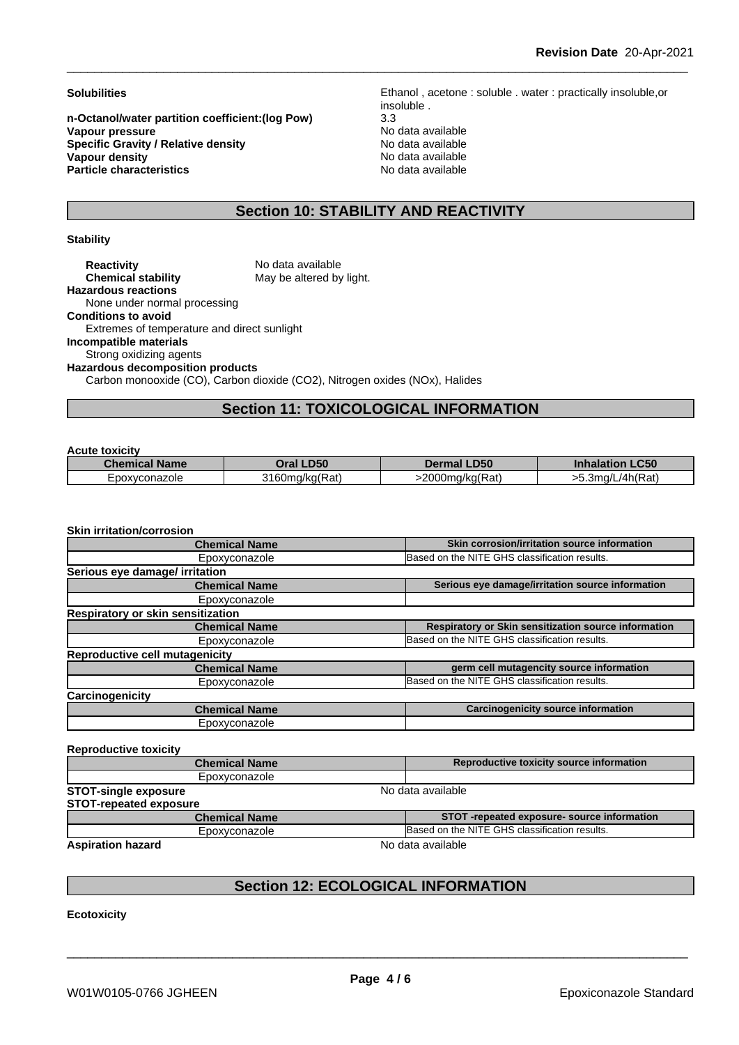**n-Octanol/water partition coefficient:(log Pow)** 3.3 **Vapour pressure** Note and the Magnetic Control of Note and Available and Available of the Magnetic Control of the Magnetic Control of the Magnetic Control of the Magnetic Control of the Magnetic Control of the Magnetic Co **Specific Gravity / Relative density**<br> **Vapour density**<br> **Vapour density**<br> **No data available Vapour density**<br> **Particle characteristics**<br> **Particle characteristics**<br> **Particle characteristics Particle characteristics** 

**Solubilities** Ethanol , acetone : soluble . water : practically insoluble,or insoluble .

## **Section 10: STABILITY AND REACTIVITY**

#### **Stability**

| No data available                                                           |
|-----------------------------------------------------------------------------|
| May be altered by light.                                                    |
|                                                                             |
|                                                                             |
|                                                                             |
| Extremes of temperature and direct sunlight                                 |
|                                                                             |
|                                                                             |
| <b>Hazardous decomposition products</b>                                     |
| Carbon monooxide (CO), Carbon dioxide (CO2), Nitrogen oxides (NOx), Halides |
|                                                                             |

## **Section 11: TOXICOLOGICAL INFORMATION**

#### **Acute toxicity**

| .                       |                                     |                               |                                       |
|-------------------------|-------------------------------------|-------------------------------|---------------------------------------|
| <b>Name</b><br>Chemical | <b>D50</b><br>)ral                  | <b>.D50</b>                   | C <sub>CD</sub><br>Inna<br>IOI<br>.uu |
| -poxvconazole<br>– ∪∪∗∶ | $\sqrt{2}$<br>2160<br>160ma/ka(Rat) | .J0ma/ka(Rət`<br>2000<br>Kal. | /4h(Rat`<br>- 14                      |

#### **Skin irritation/corrosion**

| <b>Chemical Name</b>                     | Skin corrosion/irritation source information         |
|------------------------------------------|------------------------------------------------------|
| Epoxyconazole                            | Based on the NITE GHS classification results.        |
| Serious eye damage/ irritation           |                                                      |
| <b>Chemical Name</b>                     | Serious eye damage/irritation source information     |
| Epoxyconazole                            |                                                      |
| <b>Respiratory or skin sensitization</b> |                                                      |
| <b>Chemical Name</b>                     | Respiratory or Skin sensitization source information |
| Epoxyconazole                            | Based on the NITE GHS classification results.        |
| Reproductive cell mutagenicity           |                                                      |
| <b>Chemical Name</b>                     | germ cell mutagencity source information             |
| Epoxyconazole                            | Based on the NITE GHS classification results.        |
| Carcinogenicity                          |                                                      |
| <b>Chemical Name</b>                     | <b>Carcinogenicity source information</b>            |
| Epoxyconazole                            |                                                      |
|                                          |                                                      |
| <b>Reproductive toxicity</b>             |                                                      |
| <b>Chemical Name</b>                     | Reproductive toxicity source information             |
| Epoxyconazole                            |                                                      |
| <b>STOT-single exposure</b>              | No data available                                    |
| <b>STOT-repeated exposure</b>            |                                                      |
| <b>Chemical Name</b>                     | STOT-repeated exposure- source information           |
| Epoxyconazole                            | Based on the NITE GHS classification results.        |
|                                          |                                                      |

**Aspiration hazard** No data available

\_\_\_\_\_\_\_\_\_\_\_\_\_\_\_\_\_\_\_\_\_\_\_\_\_\_\_\_\_\_\_\_\_\_\_\_\_\_\_\_\_\_\_\_\_\_\_\_\_\_\_\_\_\_\_\_\_\_\_\_\_\_\_\_\_\_\_\_\_\_\_\_\_\_\_\_\_\_\_\_\_\_\_\_\_\_\_\_\_\_

## **Section 12: ECOLOGICAL INFORMATION**

**Ecotoxicity**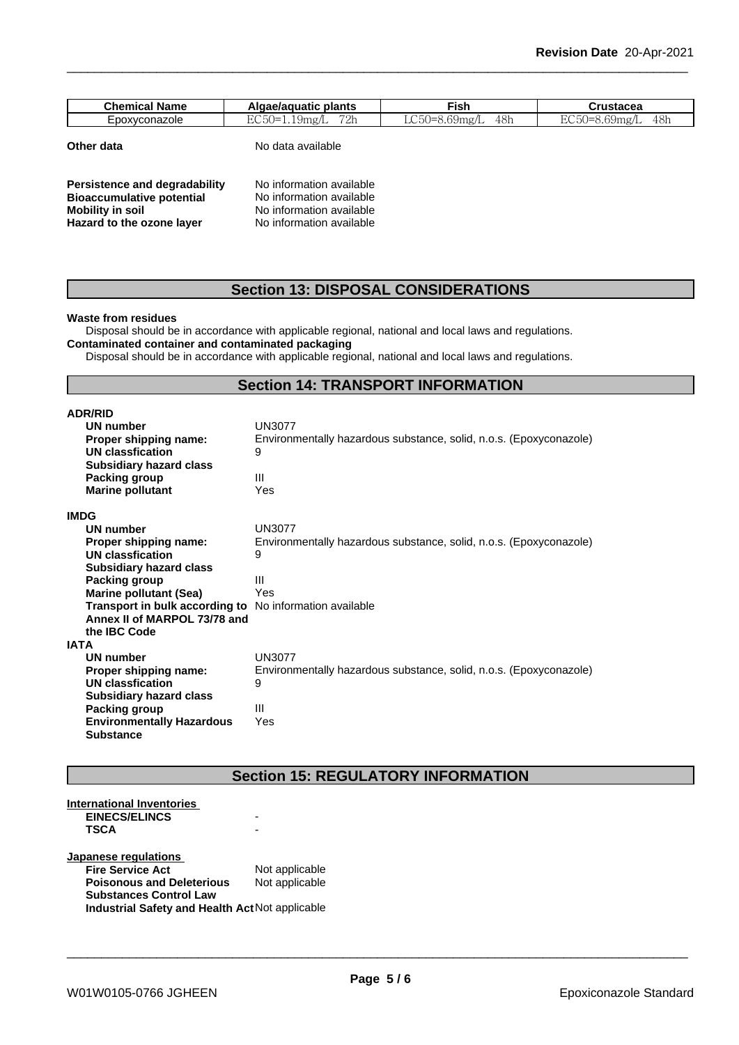| <b>Chemical Name</b>            | . .<br><b>plants</b><br>Algae/aguatic                                                                                               | --<br>l∽ish                                                                    | ,,,,,,,,<br>i uslacea                                |
|---------------------------------|-------------------------------------------------------------------------------------------------------------------------------------|--------------------------------------------------------------------------------|------------------------------------------------------|
| vconazole<br>$n \sim$<br>– POv∴ | $\blacksquare$ $\blacksquare$ $\blacksquare$ $\blacksquare$<br>$\cdot$ , $\cdot$<br>1 <sub>m</sub><br>1.191118/<br>۔ ا<br>---<br>-- | $\mathbf{a} = \mathbf{a}$<br>$\sim$<br>4 X F<br>5.6YMg/l<br>TUII<br>$\sim$ 0.1 | $\blacksquare$<br>48h<br>$\sim$<br><b>Lands</b><br>. |

**Other data** No data available

| Persistence and degradability    | No information available |
|----------------------------------|--------------------------|
| <b>Bioaccumulative potential</b> | No information available |
| Mobility in soil                 | No information available |
| Hazard to the ozone layer        | No information available |

## **Section 13: DISPOSAL CONSIDERATIONS**

#### **Waste from residues**

Disposal should be in accordance with applicable regional, national and local laws and regulations.

**Contaminated container and contaminated packaging**

Disposal should be in accordance with applicable regional, national and local laws and regulations.

## **Section 14: TRANSPORT INFORMATION**

| <b>ADR/RID</b>                                                 |                                                                    |
|----------------------------------------------------------------|--------------------------------------------------------------------|
| UN number                                                      | <b>UN3077</b>                                                      |
| Proper shipping name:                                          | Environmentally hazardous substance, solid, n.o.s. (Epoxyconazole) |
| UN classfication                                               | 9                                                                  |
| <b>Subsidiary hazard class</b>                                 |                                                                    |
| Packing group                                                  | Ш                                                                  |
| <b>Marine pollutant</b>                                        | Yes                                                                |
| <b>IMDG</b>                                                    |                                                                    |
| UN number                                                      | <b>UN3077</b>                                                      |
| Proper shipping name:                                          | Environmentally hazardous substance, solid, n.o.s. (Epoxyconazole) |
| <b>UN classfication</b>                                        | 9                                                                  |
| <b>Subsidiary hazard class</b>                                 |                                                                    |
| Packing group                                                  | Ш                                                                  |
| <b>Marine pollutant (Sea)</b>                                  | Yes                                                                |
| <b>Transport in bulk according to</b> No information available |                                                                    |
| Annex II of MARPOL 73/78 and                                   |                                                                    |
| the IBC Code                                                   |                                                                    |
| IATA                                                           |                                                                    |
| UN number                                                      | <b>UN3077</b>                                                      |
| Proper shipping name:                                          | Environmentally hazardous substance, solid, n.o.s. (Epoxyconazole) |
| <b>UN classfication</b>                                        | 9                                                                  |
| <b>Subsidiary hazard class</b>                                 |                                                                    |
| Packing group                                                  | Ш                                                                  |
| <b>Environmentally Hazardous</b>                               | Yes                                                                |
| <b>Substance</b>                                               |                                                                    |

## **Section 15: REGULATORY INFORMATION**

| International Inventories                       |                |  |
|-------------------------------------------------|----------------|--|
| <b>EINECS/ELINCS</b>                            |                |  |
| <b>TSCA</b>                                     |                |  |
| <b>Japanese regulations</b>                     |                |  |
| <b>Fire Service Act</b>                         | Not applicable |  |
| <b>Poisonous and Deleterious</b>                | Not applicable |  |
| <b>Substances Control Law</b>                   |                |  |
| Industrial Safety and Health Act Not applicable |                |  |